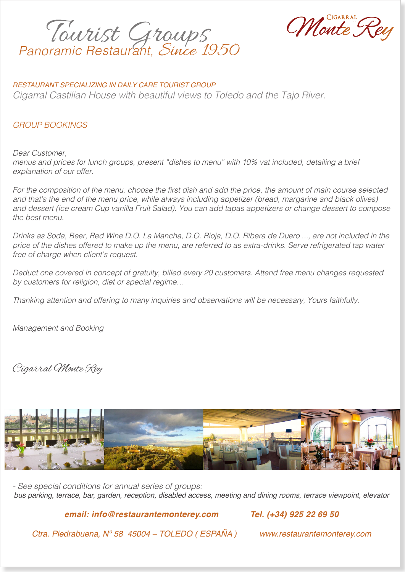*Panoramic Restaurant,* Since 1950



### *RESTAURANT SPECIALIZING IN DAILY CARE TOURIST GROUP*

*Cigarral Castilian House with beautiful views to Toledo and the Tajo River.*

# *GROUP BOOKINGS*

*Dear Customer, menus and prices for lunch groups, present "dishes to menu" with 10% vat included, detailing a brief explanation of our offer.*

For the composition of the menu, choose the first dish and add the price, the amount of main course selected and that's the end of the menu price, while always including appetizer (bread, margarine and black olives) *and dessert (ice cream Cup vanilla Fruit Salad). You can add tapas appetizers or change dessert to compose the best menu.*

*Drinks as Soda, Beer, Red Wine D.O. La Mancha, D.O. Rioja, D.O. Ribera de Duero ..., are not included in the price of the dishes offered to make up the menu, are referred to as extra-drinks. Serve refrigerated tap water free of charge when client's request.*

*Deduct one covered in concept of gratuity, billed every 20 customers. Attend free menu changes requested by customers for religion, diet or special regime…*

*Thanking attention and offering to many inquiries and observations will be necessary, Yours faithfully.*

*Management and Booking*

Cigarral Monte Rey



*- See special conditions for annual series of groups: bus parking, terrace, bar, garden, reception, disabled access, meeting and dining rooms, terrace viewpoint, elevator*

*email: info@restaurantemonterey.com Tel. (+34) 925 22 69 50* 

*Ctra. Piedrabuena, Nº 58 45004 – TOLEDO ( ESPAÑA ) www.restaurantemonterey.com*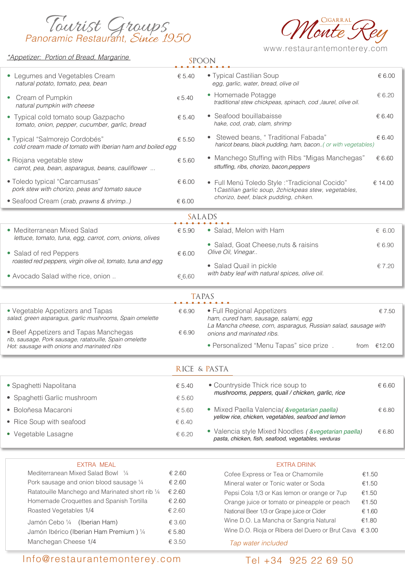



www.restaurantemonterey.com

| <u><i>*Appetizer: Portion of Bread, Margarine</i></u>                                        |                  | <b>SPOON</b>                                                                                               |                |  |
|----------------------------------------------------------------------------------------------|------------------|------------------------------------------------------------------------------------------------------------|----------------|--|
| • Legumes and Vegetables Cream<br>natural potato, tomato, pea, bean                          | € 5.40           | • Typical Castilian Soup<br>egg, garlic, water, bread, olive oil                                           | € 6.00         |  |
| Cream of Pumpkin<br>$\bullet$<br>natural pumpkin with cheese                                 | € 5.40           | • Homemade Potagge<br>traditional stew chickpeas, spinach, cod , laurel, olive oil.                        | € 6.20         |  |
| • Typical cold tomato soup Gazpacho<br>tomato, onion, pepper, cucumber, garlic, bread        | € 5.40           | • Seafood bouillabaisse<br>hake, cod, crab, clam, shrimp                                                   | € 6.40         |  |
| · Typical "Salmorejo Cordobés"<br>cold cream made of tomato with Iberian ham and boiled egg  | € 5.50           | Stewed beans, "Traditional Fabada"<br>haricot beans, black pudding, ham, bacon( or with vegetables)        | € 6.40         |  |
| • Riojana vegetable stew<br>carrot, pea, bean, asparagus, beans, cauliflower                 | € 5.60           | • Manchego Stuffing with Ribs "Migas Manchegas"<br>sttuffing, ribs, chorizo, bacon, peppers                | € 6.60         |  |
| • Toledo typical "Carcamusas"<br>pork stew with chorizo, peas and tomato sauce               | € 6.00           | • Full Menú Toledo Style : "Tradicional Cocido"<br>1 Castilian garlic soup, 2chickpeas stew, vegetables,   | € 14.00        |  |
| • Seafood Cream (crab, prawns & shrimp)                                                      | € 6.00           | chorizo, beef, black pudding, chiken.                                                                      |                |  |
|                                                                                              |                  | SALADS                                                                                                     |                |  |
| • Mediterranean Mixed Salad                                                                  | € 5.90           | • Salad, Melon with Ham                                                                                    | € 6.00         |  |
| lettuce, tomato, tuna, egg, carrot, corn, onions, olives                                     |                  | • Salad, Goat Cheese, nuts & raisins                                                                       | € 6.90         |  |
| • Salad of red Peppers                                                                       | € 6.00           | Olive Oil, Vinegar                                                                                         |                |  |
| roasted red peppers, virgin olive oil, tomato, tuna and egg                                  |                  | • Salad Quail in pickle                                                                                    | € 7.20         |  |
| • Avocado Salad withe rice, onion                                                            | €_6,60           | with baby leaf with natural spices, olive oil.                                                             |                |  |
|                                                                                              |                  | <b>TAPAS</b>                                                                                               |                |  |
|                                                                                              |                  |                                                                                                            |                |  |
| • Vegetable Appetizers and Tapas<br>salad, green asparagus, garlic mushrooms, Spain omelette | € 6.90           | • Full Regional Appetizers<br>ham, cured ham, sausage, salami, egg                                         | € 7.50         |  |
| • Beef Appetizers and Tapas Manchegas                                                        | € 6.90           | La Mancha cheese, corn, asparagus, Russian salad, sausage with                                             |                |  |
| rib, sausage, Pork sausage, ratatouille, Spain omelette                                      |                  | onions and marinated ribs.                                                                                 |                |  |
| Hot: sausage with onions and marinated ribs                                                  |                  | • Personalized "Menu Tapas" sice prize.                                                                    | from €12.00    |  |
|                                                                                              |                  | RICE & PASTA                                                                                               |                |  |
| • Spaghetti Napolitana                                                                       | € 5.40           | • Countryside Thick rice soup to                                                                           | € 6.60         |  |
| • Spaghetti Garlic mushroom                                                                  | € 5.60           | mushrooms, peppers, quail / chicken, garlic, rice                                                          |                |  |
| • Boloñesa Macaroni                                                                          | € 5.60           | • Mixed Paella Valencia (&vegetarian paella)                                                               | € 6.80         |  |
| • Rice Soup with seafood                                                                     | € 6.40           | yellow rice, chicken, vegetables, seafood and lemon                                                        |                |  |
| • Vegetable Lasagne                                                                          | € 6.20           | • Valencia style Mixed Noodles (&vegetarian paella)<br>pasta, chicken, fish, seafood, vegetables, verduras | € 6.80         |  |
|                                                                                              |                  |                                                                                                            |                |  |
| <b>EXTRA MEAL</b>                                                                            |                  | <b>EXTRA DRINK</b>                                                                                         |                |  |
| Mediterranean Mixed Salad Bowl 1/4                                                           | € 2.60           | Cofee Express or Tea or Chamomile                                                                          | €1.50          |  |
| Pork sausage and onion blood sausage 1/4<br>Ratatouille Manchego and Marinated short rib 1/4 | € 2.60<br>€ 2.60 | Mineral water or Tonic water or Soda                                                                       | €1.50          |  |
| Homemade Croquettes and Spanish Tortilla                                                     | € 2.60           | Pepsi Cola 1/3 or Kas lemon or orange or 7up<br>Orange juice or tomato or pineapple or peach               | €1.50<br>€1.50 |  |
| Roasted Vegetables 1/4                                                                       | € 2.60           | National Beer 1/3 or Grape juice or Cider                                                                  | € 1.60         |  |
| Jamón Cebo 1/4 (Iberian Ham)                                                                 | € 3.60           | Wine D.O. La Mancha or Sangria Natural                                                                     | €1.80          |  |
| Jamón Ibérico (Iberian Ham Premium) 1/4                                                      | € 5.80           | Wine D.O. Rioja or Ribera del Duero or Brut Cava € 3.00                                                    |                |  |
| Manchegan Cheese 1/4                                                                         | € 3.50           | Tap water included                                                                                         |                |  |

# Info@restaurantemonterey.com

Tel +34 925 22 69 50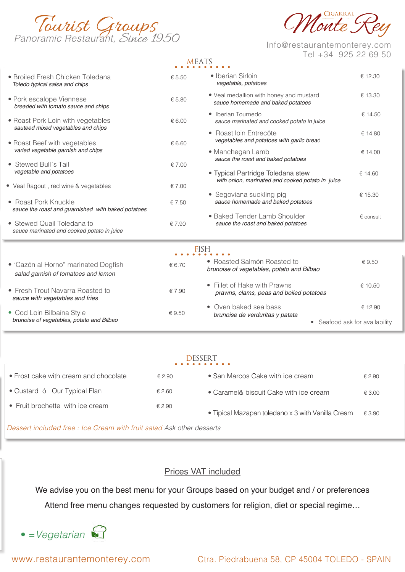



# Tel +34 925 22 69 50

# MEATS

| • Broiled Fresh Chicken Toledana<br>Toledo typical salsa and chips          | € 5.50           | • Iberian Sirloin<br>vegetable, potatoes                                              | € 12.30                        |  |  |
|-----------------------------------------------------------------------------|------------------|---------------------------------------------------------------------------------------|--------------------------------|--|--|
| • Pork escalope Viennese<br>breaded with tomato sauce and chips             | € 5.80           | . Veal medallion with honey and mustard<br>sauce homemade and baked potatoes          | € 13.30                        |  |  |
| • Roast Pork Loin with vegetables<br>sauteed mixed vegetables and chips     | € 6.00           | • Iberian Tournedo<br>sauce marinated and cooked potato in juice                      | € 14.50                        |  |  |
| • Roast Beef with vegetables                                                | € 6.60           | • Roast Ioin Entrecôte<br>vegetables and potatoes with garlic bread                   | € 14.80                        |  |  |
| varied vegetable garnish and chips<br>• Stewed Bull's Tail                  | € 7.00           | • Manchegan Lamb<br>sauce the roast and baked potatoes                                | € 14.00                        |  |  |
| vegetable and potatoes                                                      |                  | · Typical Partridge Toledana stew<br>with onion, marinated and cooked potato in juice | € 14.60                        |  |  |
| • Veal Ragout, red wine & vegetables<br>• Roast Pork Knuckle                | € 7.00<br>€ 7.50 | • Segoviana suckling pig<br>sauce homemade and baked potatoes                         | € 15.30                        |  |  |
| sauce the roast and guarnished with baked potatoes                          |                  | • Baked Tender Lamb Shoulder                                                          | $\epsilon$ consult             |  |  |
| • Stewed Quail Toledana to<br>sauce marinated and cooked potato in juice    | € 7.90           | sauce the roast and baked potatoes                                                    |                                |  |  |
| <b>FISH</b>                                                                 |                  |                                                                                       |                                |  |  |
| • "Cazón al Horno" marinated Dogfish<br>salad garnish of tomatoes and lemon | € 6.70           | • Roasted Salmón Roasted to<br>brunoise of vegetables, potato and Bilbao              | € 9.50                         |  |  |
| • Fresh Trout Navarra Roasted to<br>sauce with vegetables and fries         | € 7.90           | • Fillet of Hake with Prawns<br>prawns, clams, peas and boiled potatoes               | € 10.50                        |  |  |
| • Cod Loin Bilbaína Style                                                   | €9.50            | • Oven baked sea bass<br>brunoise de verduritas y patata                              | € 12.90                        |  |  |
| brunoise of vegetables, potato and Bilbao                                   |                  |                                                                                       | • Seafood ask for availability |  |  |

## DESSERT

| • Frost cake with cream and chocolate                                                                                                                                                                                           | £2.90  | • San Marcos Cake with ice cream                  | € 2.90          |  |  |  |
|---------------------------------------------------------------------------------------------------------------------------------------------------------------------------------------------------------------------------------|--------|---------------------------------------------------|-----------------|--|--|--|
| • Custard ó Our Typical Flan                                                                                                                                                                                                    | € 2.60 | • Caramel& biscuit Cake with ice cream            | $\epsilon$ 3.00 |  |  |  |
| • Fruit brochette with ice cream                                                                                                                                                                                                | € 2.90 | • Tipical Mazapan toledano x 3 with Vanilla Cream | € 3.90          |  |  |  |
| $\Box$ , and the contract of the contract of the contract of the contract of the contract of the contract of the contract of the contract of the contract of the contract of the contract of the contract of the contract of th |        |                                                   |                 |  |  |  |

*Dessert included free : Ice Cream with fruit salad Ask other desserts*

## Prices VAT included

We advise you on the best menu for your Groups based on your budget and / or preferences

Attend free menu changes requested by customers for religion, diet or special regime…

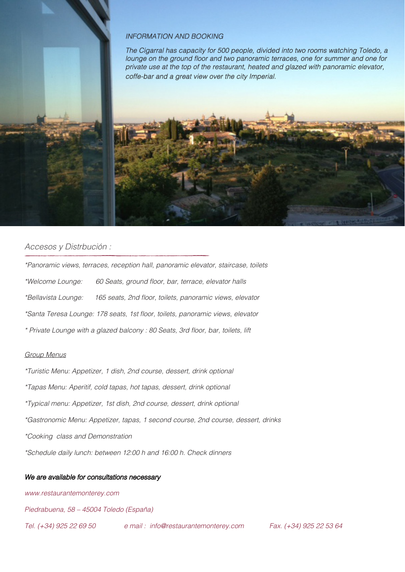#### *INFORMATION AND BOOKING*

*The Cigarral has capacity for 500 people, divided into two rooms watching Toledo, a*  lounge on the ground floor and two panoramic terraces, one for summer and one for *private use at the top of the restaurant, heated and glazed with panoramic elevator, coffe-bar and a great view over the city Imperial.*



#### *Accesos y Distrbución :*

*\*Panoramic views, terraces, reception hall, panoramic elevator, staircase, toilets* \*Welcome Lounge: 60 Seats, ground floor, bar, terrace, elevator halls \*Bellavista Lounge: 165 seats, 2nd floor, toilets, panoramic views, elevator \*Santa Teresa Lounge: 178 seats, 1st floor, toilets, panoramic views, elevator \* Private Lounge with a glazed balcony : 80 Seats, 3rd floor, bar, toilets, lift

#### *Group Menus*

*\*Turistic Menu: Appetizer, 1 dish, 2nd course, dessert, drink optional \*Tapas Menu: Aperitif, cold tapas, hot tapas, dessert, drink optional \*Typical menu: Appetizer, 1st dish, 2nd course, dessert, drink optional \*Gastronomic Menu: Appetizer, tapas, 1 second course, 2nd course, dessert, drinks \*Cooking class and Demonstration \*Schedule daily lunch: between 12:00 h and 16:00 h. Check dinners*

#### *We are available for consultations necessary*

*www.restaurantemonterey.com* 

*Piedrabuena, 58 – 45004 Toledo (España)*

*Tel. (+34) 925 22 69 50 e mail : info@restaurantemonterey.com Fax. (+34) 925 22 53 64*